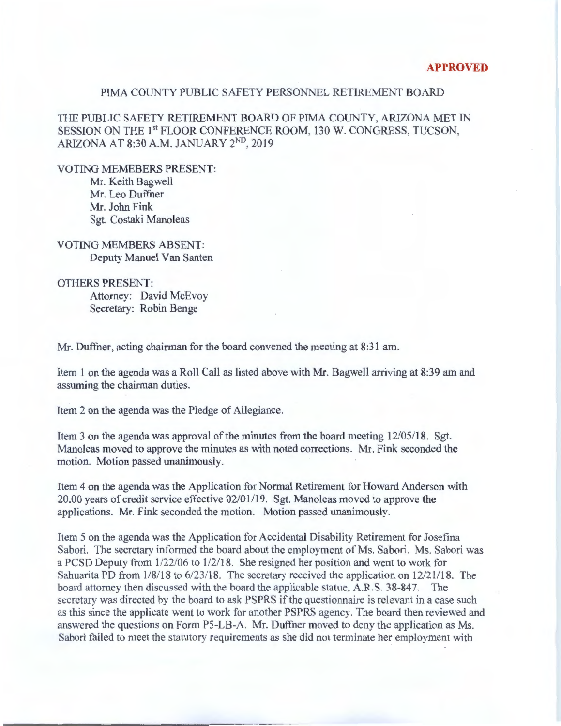## PIMA COUNTY PUBLIC SAFETY PERSONNEL RETIREMENT BOARD

THE PUBLIC SAFETY RETIREMENT BOARD OF PIMA COUNTY, ARIZONA MET IN SESSION ON THE 1<sup>st</sup> FLOOR CONFERENCE ROOM, 130 W. CONGRESS, TUCSON, ARIZONA AT 8:30A.M. JANUARY 2ND, 2019

VOTING MEMEBERS PRESENT:

Mr. Keith Bagwell Mr. Leo Duffner Mr. John Fink Sgt. Costaki Manoleas

VOTING MEMBERS ABSENT: Deputy Manuel Van Santen

OTHERS PRESENT:

Attorney: David McEvoy Secretary: Robin Benge

Mr. Duffner, acting chairman for the board convened the meeting at 8:31 am.

Item 1 on the agenda was a Roll Call as listed above with Mr. Bagwell arriving at 8:39 am and assuming the chairman duties.

Item 2 on the agenda was the Pledge of Allegiance.

Item 3 on the agenda was approval of the minutes from the board meeting  $12/05/18$ . Sgt. Manoleas moved to approve the minutes as with noted corrections. Mr. Fink seconded the motion. Motion passed unanimously.

Item 4 on the agenda was the Application for Normal Retirement for Howard Anderson with 20.00 years of credit service effective 02/01119. Sgt. Manoleas moved to approve the applications. Mr. Fink seconded the motion. Motion passed unanimously.

Item 5 on the agenda was the Application for Accidental Disability Retirement for Josefina Sabori. The secretary informed the board about the employment of Ms. Sabori. Ms. Sabori was a PCSD Deputy from 1122/06 to 1/2118. She resigned her position and went to work for Sahuarita PD from  $1/8/18$  to  $6/23/18$ . The secretary received the application on  $12/21/18$ . The board attorney then discussed with the board the applicable statue, A.R.S. 38-847. The secretary was directed by the board to ask PSPRS if the questionnaire is relevant in a case such as this since the applicate went to work for another PSPRS agency. The board then reviewed and answered the questions on Form P5-LB-A. Mr. Duffner moved to deny the application as Ms. Sabori failed to meet the statutory requirements as she did not terminate her employment with